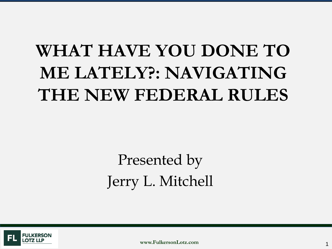# **WHAT HAVE YOU DONE TO ME LATELY?: NAVIGATING THE NEW FEDERAL RULES**

# Presented by Jerry L. Mitchell



**www.FulkersonLotz.com**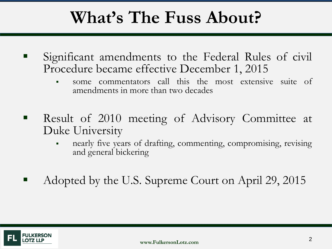### **What's The Fuss About?**

- Significant amendments to the Federal Rules of civil Procedure became effective December 1, 2015
	- some commentators call this the most extensive suite of amendments in more than two decades
- **Result of 2010 meeting of Advisory Committee at** Duke University
	- nearly five years of drafting, commenting, compromising, revising and general bickering
- Adopted by the U.S. Supreme Court on April 29, 2015

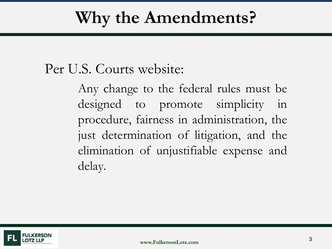### **Why the Amendments?**

#### Per U.S. Courts website:

Any change to the federal rules must be designed to promote simplicity in procedure, fairness in administration, the just determination of litigation, and the elimination of unjustifiable expense and delay.

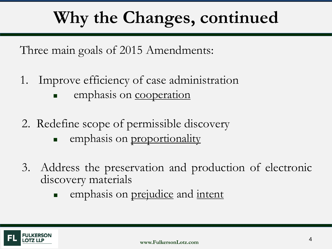# **Why the Changes, continued**

Three main goals of 2015 Amendments:

- 1. Improve efficiency of case administration emphasis on cooperation
- 2. Redefine scope of permissible discovery
	- **emphasis on proportionality**
- 3. Address the preservation and production of electronic discovery materials
	- **EXECUTE:** emphasis on prejudice and intent

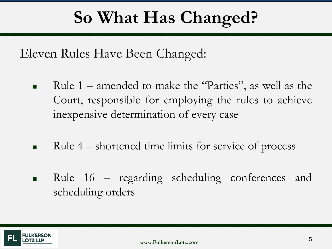## **So What Has Changed?**

Eleven Rules Have Been Changed:

- Rule 1 amended to make the "Parties", as well as the Court, responsible for employing the rules to achieve inexpensive determination of every case
- Rule 4 shortened time limits for service of process
- **Rule 16 regarding scheduling conferences and** scheduling orders

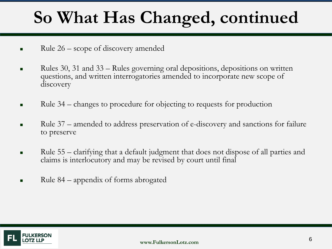# **So What Has Changed, continued**

- Rule 26 scope of discovery amended
- Rules 30, 31 and  $33 -$ Rules governing oral depositions, depositions on written questions, and written interrogatories amended to incorporate new scope of discovery
- Rule 34 changes to procedure for objecting to requests for production
- Rule 37 amended to address preservation of e-discovery and sanctions for failure to preserve
- Rule 55 clarifying that a default judgment that does not dispose of all parties and claims is interlocutory and may be revised by court until final
- Rule 84 appendix of forms abrogated

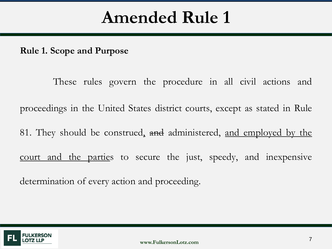**Rule 1. Scope and Purpose**

These rules govern the procedure in all civil actions and proceedings in the United States district courts, except as stated in Rule 81. They should be construed, and administered, and employed by the court and the parties to secure the just, speedy, and inexpensive determination of every action and proceeding.

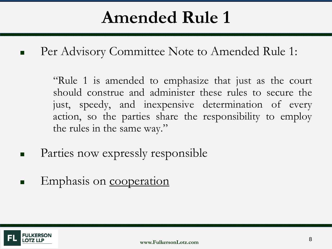Per Advisory Committee Note to Amended Rule 1:

"Rule 1 is amended to emphasize that just as the court should construe and administer these rules to secure the just, speedy, and inexpensive determination of every action, so the parties share the responsibility to employ the rules in the same way."

- Parties now expressly responsible
- Emphasis on cooperation

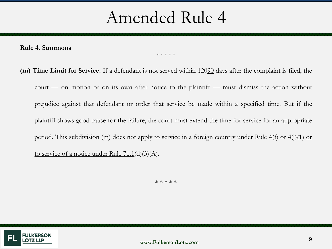**Rule 4. Summons**

#### \* \* \* \* \*

**(m) Time Limit for Service.** If a defendant is not served within 12090 days after the complaint is filed, the court — on motion or on its own after notice to the plaintiff — must dismiss the action without prejudice against that defendant or order that service be made within a specified time. But if the plaintiff shows good cause for the failure, the court must extend the time for service for an appropriate period. This subdivision (m) does not apply to service in a foreign country under Rule 4(f) or 4(j)(1) or to service of a notice under Rule 71.1(d)(3)(A).

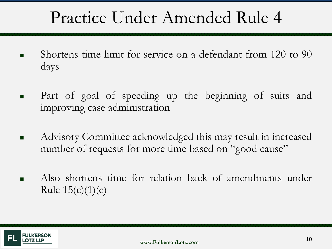### Practice Under Amended Rule 4

- Shortens time limit for service on a defendant from 120 to 90 days
- **Part of goal of speeding up the beginning of suits and** improving case administration
- Advisory Committee acknowledged this may result in increased number of requests for more time based on "good cause"
- Also shortens time for relation back of amendments under Rule  $15(c)(1)(c)$

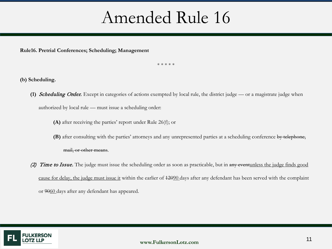**Rule16. Pretrial Conferences; Scheduling; Management**

\* \* \* \* \*

**(b) Scheduling.**

- **(1)** Scheduling Order. Except in categories of actions exempted by local rule, the district judge or a magistrate judge when authorized by local rule — must issue a scheduling order:
	- **(A)** after receiving the parties' report under Rule 26(f); or
	- **(B)** after consulting with the parties' attorneys and any unrepresented parties at a scheduling conference by telephone, mail, or other means.
- (2) Time to Issue. The judge must issue the scheduling order as soon as practicable, but in any eventunless the judge finds good cause for delay, the judge must issue it within the earlier of 12090 days after any defendant has been served with the complaint or 9060 days after any defendant has appeared.

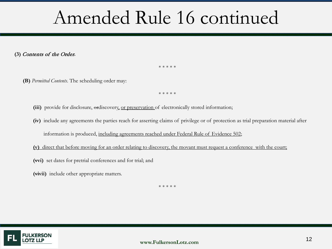# Amended Rule 16 continued

**(3)** Contents of the Order**.**

\* \* \* \* \*

**(B)** *Permitted Contents*. The scheduling order may:

\* \* \* \* \*

- (iii) provide for disclosure, ordiscovery, or preservation of electronically stored information;
- **(iv)** include any agreements the parties reach for asserting claims of privilege or of protection as trial preparation material after information is produced, including agreements reached under Federal Rule of Evidence 502;
- **(v)** direct that before moving for an order relating to discovery, the movant must request a conference with the court;
- **(vvi)** set dates for pretrial conferences and for trial; and
- **(vivii)** include other appropriate matters.

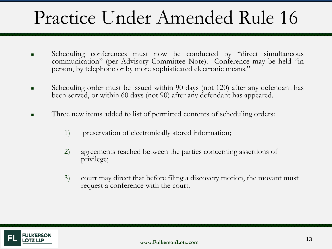# Practice Under Amended Rule 16

- Scheduling conferences must now be conducted by "direct simultaneous communication" (per Advisory Committee Note). Conference may be held "in person, by telephone or by more sophisticated electronic means."
- Scheduling order must be issued within 90 days (not 120) after any defendant has been served, or within 60 days (not 90) after any defendant has appeared.
- Three new items added to list of permitted contents of scheduling orders:
	- 1) preservation of electronically stored information;
	- 2) agreements reached between the parties concerning assertions of privilege;
	- 3) court may direct that before filing a discovery motion, the movant must request a conference with the court.

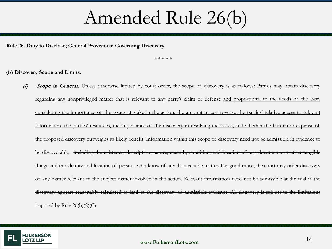# Amended Rule 26(b)

**Rule 26. Duty to Disclose; General Provisions; Governing Discovery**

\* \* \* \* \*

**(b) Discovery Scope and Limits.**

(1) Scope in General. Unless otherwise limited by court order, the scope of discovery is as follows: Parties may obtain discovery regarding any nonprivileged matter that is relevant to any party's claim or defense and proportional to the needs of the case, considering the importance of the issues at stake in the action, the amount in controversy, the parties' relative access to relevant information, the parties' resources, the importance of the discovery in resolving the issues, and whether the burden or expense of the proposed discovery outweighs its likely benefit. Information within this scope of discovery need not be admissible in evidence to be discoverable. including the existence, description, nature, custody, condition, and location of any documents or other tangible things and the identity and location of persons who know of any discoverable matter. For good cause, the court may order discovery of any matter relevant to the subject matter involved in the action. Relevant information need not be admissible at the trial if the discovery appears reasonably calculated to lead to the discovery of admissible evidence. All discovery is subject to the limitations imposed by Rule 26(b)(2)(C).

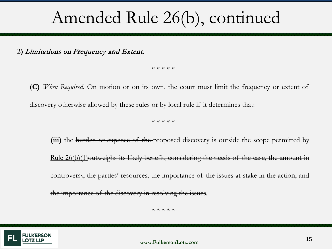### Amended Rule 26(b), continued

**2)** Limitations on Frequency and Extent.

\* \* \* \* \*

**(C)** *When Required.* On motion or on its own, the court must limit the frequency or extent of discovery otherwise allowed by these rules or by local rule if it determines that:

\* \* \* \* \*

**(iii)** the burden or expense of the proposed discovery is outside the scope permitted by Rule 26(b)(1)outweighs its likely benefit, considering the needs of the case, the amount in controversy, the parties' resources, the importance of the issues at stake in the action, and the importance of the discovery in resolving the issues.

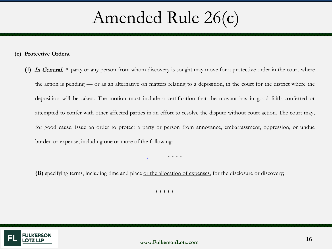### Amended Rule 26(c)

**(c) Protective Orders.**

**(1)** In General. A party or any person from whom discovery is sought may move for a protective order in the court where the action is pending — or as an alternative on matters relating to a deposition, in the court for the district where the deposition will be taken. The motion must include a certification that the movant has in good faith conferred or attempted to confer with other affected parties in an effort to resolve the dispute without court action. The court may, for good cause, issue an order to protect a party or person from annoyance, embarrassment, oppression, or undue burden or expense, including one or more of the following:

• \* \* \* \*

**(B)** specifying terms, including time and place or the allocation of expenses, for the disclosure or discovery;

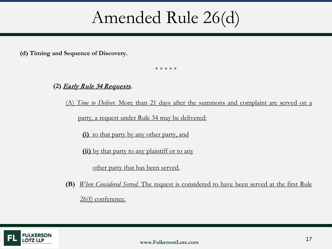#### Amended Rule 26(d)

**(d) Timing and Sequence of Discovery.**

\* \* \* \* \*

#### **(2)** Early Rule 34 Requests.

(A) *Time to Deliver.* More than 21 days after the summons and complaint are served on a

party, a request under Rule 34 may be delivered:

**(i)** to that party by any other party, and

**(ii)** by that party to any plaintiff or to any

other party that has been served.

**(B)** *When Considered Served.* The request is considered to have been served at the first Rule 26(f) conference.

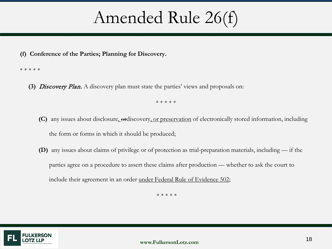### Amended Rule 26(f)

#### **(f) Conference of the Parties; Planning for Discovery.**

#### \* \* \* \* \*

**(3)** Discovery Plan. A discovery plan must state the parties' views and proposals on:

\* \* \* \* \*

- **(C)** any issues about disclosure, ordiscovery, or preservation of electronically stored information, including the form or forms in which it should be produced;
- **(D)** any issues about claims of privilege or of protection as trial-preparation materials, including if the parties agree on a procedure to assert these claims after production — whether to ask the court to include their agreement in an order under Federal Rule of Evidence 502;

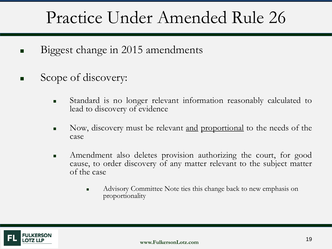## Practice Under Amended Rule 26

- Biggest change in 2015 amendments
- Scope of discovery:
	- Standard is no longer relevant information reasonably calculated to lead to discovery of evidence
	- Now, discovery must be relevant <u>and proportional</u> to the needs of the case
	- **Amendment also deletes provision authorizing the court, for good** cause, to order discovery of any matter relevant to the subject matter of the case
		- Advisory Committee Note ties this change back to new emphasis on proportionality

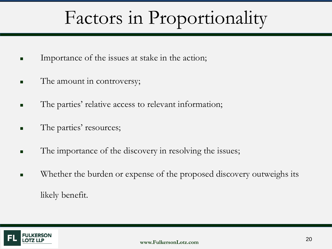# Factors in Proportionality

- **IMPORTANCE OF the issues at stake in the action;**
- The amount in controversy;
- The parties' relative access to relevant information;
- **The parties' resources;**
- The importance of the discovery in resolving the issues;
- **Number 1** Whether the burden or expense of the proposed discovery outweighs its likely benefit.

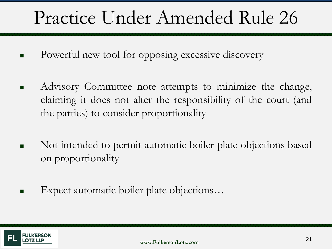# Practice Under Amended Rule 26

- **Powerful new tool for opposing excessive discovery**
- Advisory Committee note attempts to minimize the change, claiming it does not alter the responsibility of the court (and the parties) to consider proportionality
- Not intended to permit automatic boiler plate objections based on proportionality
- Expect automatic boiler plate objections…

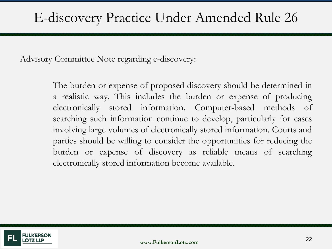Advisory Committee Note regarding e-discovery:

The burden or expense of proposed discovery should be determined in a realistic way. This includes the burden or expense of producing electronically stored information. Computer-based methods of searching such information continue to develop, particularly for cases involving large volumes of electronically stored information. Courts and parties should be willing to consider the opportunities for reducing the burden or expense of discovery as reliable means of searching electronically stored information become available.

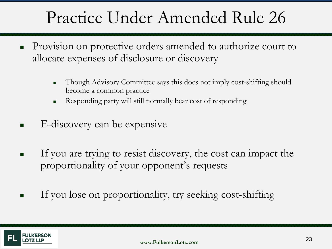## Practice Under Amended Rule 26

- **Provision on protective orders amended to authorize court to** allocate expenses of disclosure or discovery
	- Though Advisory Committee says this does not imply cost-shifting should become a common practice
	- Responding party will still normally bear cost of responding
- $\blacksquare$  E-discovery can be expensive
- If you are trying to resist discovery, the cost can impact the proportionality of your opponent's requests
- If you lose on proportionality, try seeking cost-shifting

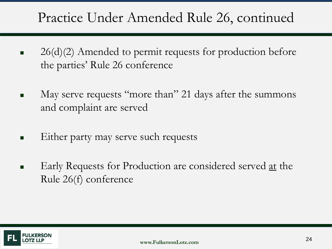#### Practice Under Amended Rule 26, continued

- $\blacksquare$  26(d)(2) Amended to permit requests for production before the parties' Rule 26 conference
- May serve requests "more than" 21 days after the summons and complaint are served
- **Either party may serve such requests**
- Early Requests for Production are considered served at the Rule 26(f) conference

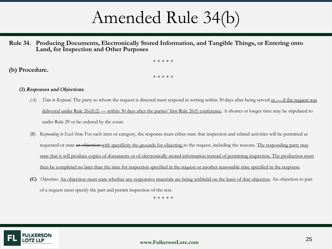Amended Rule 34(b)

#### **Rule 34. Producing Documents, Electronically Stored Information, and Tangible Things, or Entering onto Land, for Inspection and Other Purposes**

\* \* \* \* \*

**(b) Procedure.**

\* \* \* \* \*

#### **(2)** Responses and Objections.

- *(A) Time to Respond.* The party to whom the request is directed must respond in writing within 30 days after being served or if the request was delivered under Rule  $26\text{ (d)}(2)$  — within 30 days after the parties' first Rule  $26\text{ (f)}$  conference. A shorter or longer time may be stipulated to under Rule 29 or be ordered by the court.
- (B) *Responding to Each Item.* For each item or category, the response must either state that inspection and related activities will be permitted as requested or state an objection with specificity the grounds for objecting to the request, including the reasons. The responding party may state that it will produce copies of documents or of electronically stored information instead of permitting inspection. The production must then be completed no later than the time for inspection specified in the request or another reasonable time specified in the response.
- **(C)** *Objections*. An objection must state whether any responsive materials are being withheld on the basis of that objection. An objection to part of a request must specify the part and permit inspection of the rest.

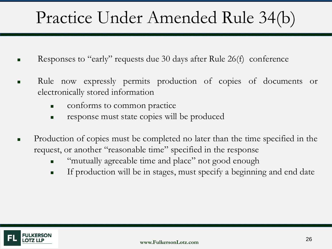- Responses to "early" requests due 30 days after Rule 26(f) conference
- Rule now expressly permits production of copies of documents or electronically stored information
	- **conforms** to common practice
	- **response must state copies will be produced**
- **Production of copies must be completed no later than the time specified in the** request, or another "reasonable time" specified in the response
	- **EXECUTE:** "mutually agreeable time and place" not good enough
	- **If production will be in stages, must specify a beginning and end date**

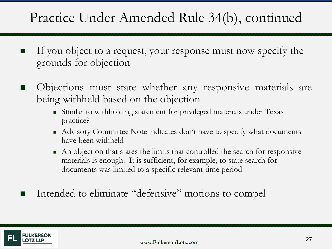#### Practice Under Amended Rule 34(b), continued

- If you object to a request, your response must now specify the grounds for objection
- Objections must state whether any responsive materials are being withheld based on the objection
	- Similar to withholding statement for privileged materials under Texas practice?
	- Advisory Committee Note indicates don't have to specify what documents have been withheld
	- An objection that states the limits that controlled the search for responsive materials is enough. It is sufficient, for example, to state search for documents was limited to a specific relevant time period
	- Intended to eliminate "defensive" motions to compel

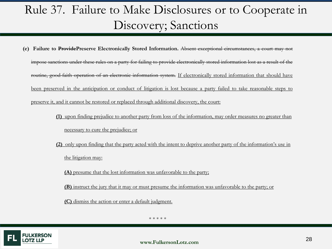#### Rule 37. Failure to Make Disclosures or to Cooperate in Discovery; Sanctions

- **(e) Failure to ProvidePreserve Electronically Stored Information.** Absent exceptional circumstances, a court may not impose sanctions under these rules on a party for failing to provide electronically stored information lost as a result of the routine, good-faith operation of an electronic information system. If electronically stored information that should have been preserved in the anticipation or conduct of litigation is lost because a party failed to take reasonable steps to preserve it, and it cannot be restored or replaced through additional discovery, the court:
	- **(1)** upon finding prejudice to another party from loss of the information, may order measures no greater than necessary to cure the prejudice; or
	- **(2)** only upon finding that the party acted with the intent to deprive another party of the information's use in the litigation may:

**(A)** presume that the lost information was unfavorable to the party;

**(B)** instruct the jury that it may or must presume the information was unfavorable to the party; or

**(C)** dismiss the action or enter a default judgment.

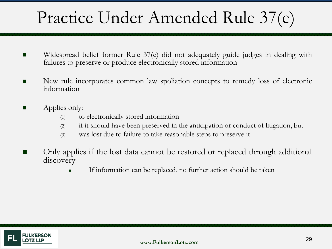- Widespread belief former Rule 37(e) did not adequately guide judges in dealing with failures to preserve or produce electronically stored information
- New rule incorporates common law spoliation concepts to remedy loss of electronic information
- **Applies only:** 
	- (1) to electronically stored information
	- (2) if it should have been preserved in the anticipation or conduct of litigation, but
	- (3) was lost due to failure to take reasonable steps to preserve it
- Only applies if the lost data cannot be restored or replaced through additional discovery
	- If information can be replaced, no further action should be taken

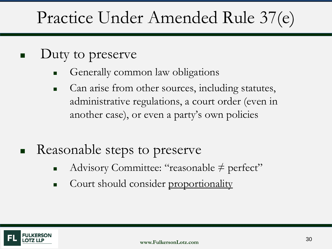- Duty to preserve
	- Generally common law obligations
	- Can arise from other sources, including statutes, administrative regulations, a court order (even in another case), or even a party's own policies
- Reasonable steps to preserve
	- Advisory Committee: "reasonable ≠ perfect"
	- Court should consider proportionality

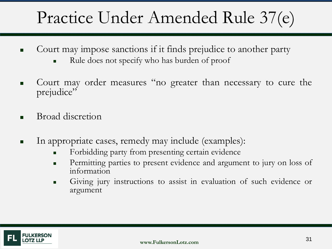- Court may impose sanctions if it finds prejudice to another party
	- Rule does not specify who has burden of proof
- Court may order measures "no greater than necessary to cure the prejudice"
- Broad discretion
- In appropriate cases, remedy may include (examples):
	- Forbidding party from presenting certain evidence
	- Permitting parties to present evidence and argument to jury on loss of information
	- Giving jury instructions to assist in evaluation of such evidence or argument

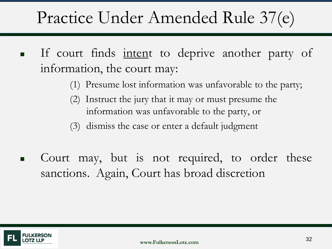- If court finds intent to deprive another party of information, the court may:
	- (1) Presume lost information was unfavorable to the party;
	- (2) Instruct the jury that it may or must presume the information was unfavorable to the party, or
	- (3) dismiss the case or enter a default judgment
- **Court may, but is not required, to order these** sanctions. Again, Court has broad discretion